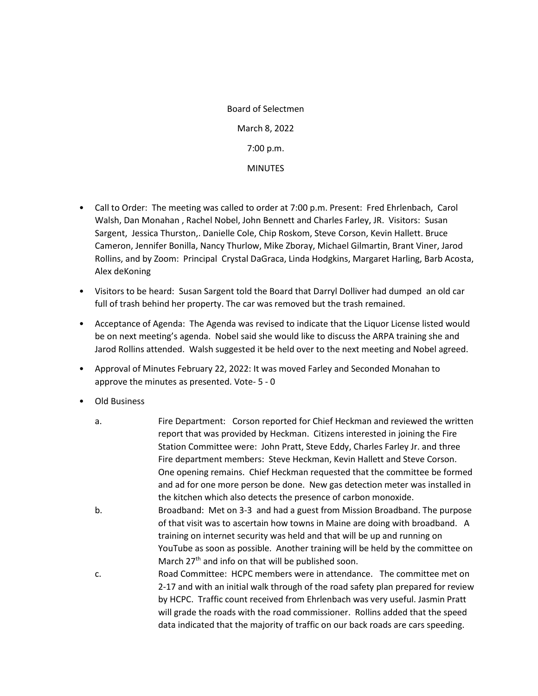Board of Selectmen March 8, 2022 7:00 p.m. **MINUTES** 

- Call to Order: The meeting was called to order at 7:00 p.m. Present: Fred Ehrlenbach, Carol Walsh, Dan Monahan , Rachel Nobel, John Bennett and Charles Farley, JR. Visitors: Susan Sargent, Jessica Thurston,. Danielle Cole, Chip Roskom, Steve Corson, Kevin Hallett. Bruce Cameron, Jennifer Bonilla, Nancy Thurlow, Mike Zboray, Michael Gilmartin, Brant Viner, Jarod Rollins, and by Zoom: Principal Crystal DaGraca, Linda Hodgkins, Margaret Harling, Barb Acosta, Alex deKoning
- Visitors to be heard: Susan Sargent told the Board that Darryl Dolliver had dumped an old car full of trash behind her property. The car was removed but the trash remained.
- Acceptance of Agenda: The Agenda was revised to indicate that the Liquor License listed would be on next meeting's agenda. Nobel said she would like to discuss the ARPA training she and Jarod Rollins attended. Walsh suggested it be held over to the next meeting and Nobel agreed.
- Approval of Minutes February 22, 2022: It was moved Farley and Seconded Monahan to approve the minutes as presented. Vote- 5 - 0
- Old Business
	- a. Fire Department: Corson reported for Chief Heckman and reviewed the written report that was provided by Heckman. Citizens interested in joining the Fire Station Committee were: John Pratt, Steve Eddy, Charles Farley Jr. and three Fire department members: Steve Heckman, Kevin Hallett and Steve Corson. One opening remains. Chief Heckman requested that the committee be formed and ad for one more person be done. New gas detection meter was installed in the kitchen which also detects the presence of carbon monoxide.
	- b. Broadband: Met on 3-3 and had a guest from Mission Broadband. The purpose of that visit was to ascertain how towns in Maine are doing with broadband. A training on internet security was held and that will be up and running on YouTube as soon as possible. Another training will be held by the committee on March 27<sup>th</sup> and info on that will be published soon.
	- c. Road Committee: HCPC members were in attendance. The committee met on 2-17 and with an initial walk through of the road safety plan prepared for review by HCPC. Traffic count received from Ehrlenbach was very useful. Jasmin Pratt will grade the roads with the road commissioner. Rollins added that the speed data indicated that the majority of traffic on our back roads are cars speeding.